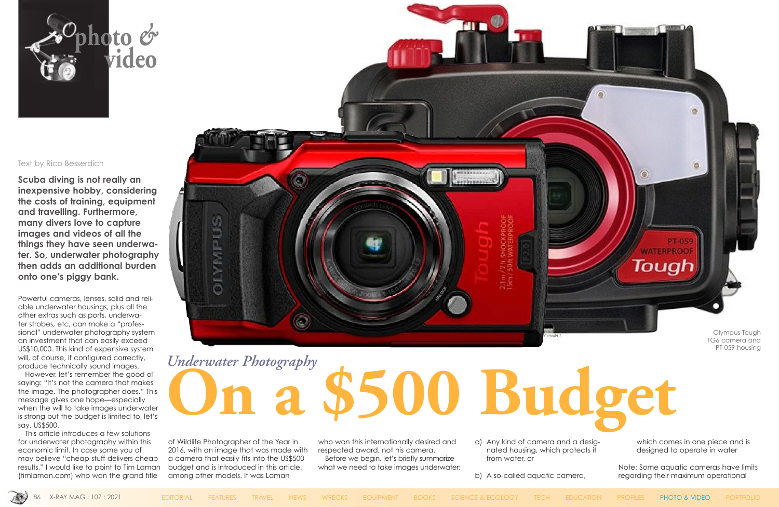#### Text by Rico Besserdich

**Scuba diving is not really an inexpensive hobby, considering the costs of training, equipment and travelling. Furthermore, many divers love to capture images and videos of all the things they have seen underwater. So, underwater photography then adds an additional burden onto one's piggy bank.**

Powerful cameras, lenses, solid and reliable underwater housings, plus all the other extras such as ports, underwater strobes, etc, can make a "professional" underwater photography system an investment that can easily exceed US\$10,000. This kind of expensive system will, of course, if configured correctly, produce technically sound images.

However, let's remember the good ol' saying: "It's not the camera that makes the image. The photographer does." This message gives one hope—especially when the will to take images underwater is strong but the budget is limited to, let's say, US\$500.

This article introduces a few solutions for underwater photography within this economic limit. In case some you of may believe "cheap stuff delivers cheap results," I would like to point to Tim Laman [\(timlaman.com\)](http://www.timlaman.com/) who won the grand title



of Wildlife Photographer of the Year in 2016, with an image that was made with a camera that easily fits into the US\$500 budget and is introduced in this article, among other models. It was Laman

who won this internationally desired and respected award, not his camera.

Before we begin, let's briefly summarize what we need to take images underwater:

- a) Any kind of camera and a designated housing, which protects it from water, or
- b) A so-called aquatic camera,



**WATERPROOF** Tough Olympus Tough

**PT-059** 

which comes in one piece and is designed to operate in water

Note: Some aquatic cameras have limits regarding their maximum operational



# **On a \$500 Budget** *Underwater Photography*

TG6 camera and PT-059 housing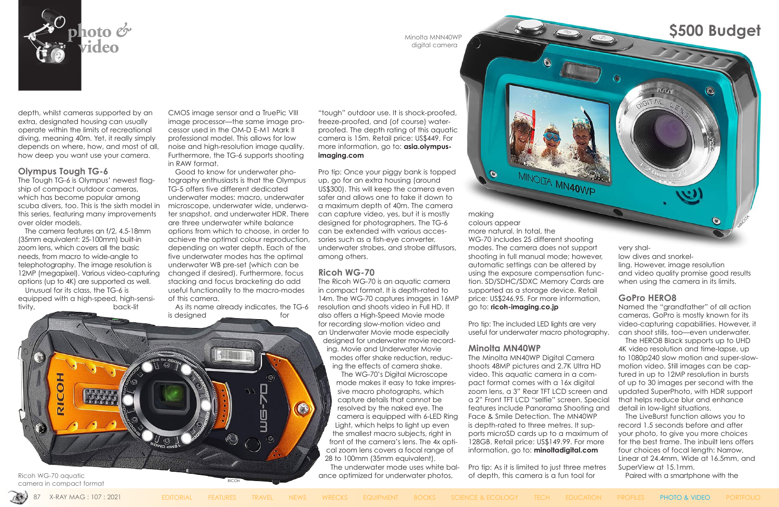

depth, whilst cameras supported by an extra, designated housing can usually operate within the limits of recreational diving, meaning 40m. Yet, it really simply depends on where, how, and most of all, how deep you want use your camera.

#### **Olympus Tough TG-6**

The Tough TG-6 is Olympus' newest flagship of compact outdoor cameras, which has become popular among scuba divers, too. This is the sixth model in this series, featuring many improvements over older models.

The camera features an f/2, 4.5-18mm (35mm equivalent: 25-100mm) built-in zoom lens, which covers all the basic needs, from macro to wide-angle to telephotography. The image resolution is 12MP (megapixel). Various video-capturing options (up to 4K) are supported as well.

> As its name already indicates, the TG-6 is designed for

Unusual for its class, the TG-6 is equipped with a high-speed, high-sensitivity, back-lit

CMOS image sensor and a TruePic VIII image processor—the same image processor used in the OM-D E-M1 Mark II professional model. This allows for low noise and high-resolution image quality. Furthermore, the TG-6 supports shooting in RAW format.

Good to know for underwater photography enthusiasts is that the Olympus TG-5 offers five different dedicated underwater modes: macro, underwater microscope, underwater wide, underwater snapshot, and underwater HDR. There are three underwater white balance options from which to choose, in order to achieve the optimal colour reproduction, depending on water depth. Each of the five underwater modes has the optimal underwater WB pre-set (which can be changed if desired). Furthermore, focus stacking and focus bracketing do add useful functionality to the macro-modes of this camera.

> The WG-70's Digital Microscope mode makes it easy to take impressive macro photographs, which capture details that cannot be resolved by the naked eye. The camera is equipped with 6-LED Ring Light, which helps to light up even the smallest macro subjects, right in front of the camera's lens. The 4x optical zoom lens covers a focal range of 28 to 100mm (35mm equivalent).

"tough" outdoor use. It is shock-proofed, freeze-proofed, and (of course) waterproofed. The depth rating of this aquatic camera is 15m. Retail price: US\$449. For more information, go to: **[asia.olympus](https://asia.olympus-imaging.com/product/compact/tg6/index.html)[imaging.com](https://asia.olympus-imaging.com/product/compact/tg6/index.html)**

Ricoh WG-70 aquatic **Exercice Act and Secure 2015** ance optimized for underwater photos, of depth, this camera is a fun tool for **Paired with a smartphone with the** Pro tip: As it is limited to just three metres of depth, this camera is a fun tool for

very shallow dives and snorkelling. However, image resolution and video quality promise good results when using the camera in its limits.

Pro tip: Once your piggy bank is topped up, go for an extra housing (around US\$300). This will keep the camera even safer and allows one to take it down to a maximum depth of 40m. The camera can capture video, yes, but it is mostly designed for photographers. The TG-6 can be extended with various accessories such as a fish-eye converter, underwater strobes, and strobe diffusors, among others.

### **Ricoh WG-70**

The Ricoh WG-70 is an aquatic camera in compact format. It is depth-rated to 14m. The WG-70 captures images in 16MP resolution and shoots video in Full HD. It also offers a High-Speed Movie mode for recording slow-motion video and an Underwater Movie mode especially designed for underwater movie recording. Movie and Underwater Movie modes offer shake reduction, reducing the effects of camera shake.

The underwater mode uses white bal-

making colours appear more natural. In total, the WG-70 includes 25 different shooting modes. The camera does not support shooting in full manual mode; however, automatic settings can be altered by using the exposure compensation function. SD/SDHC/SDXC Memory Cards are supported as a storage device. Retail price: US\$246.95. For more information, go to: **[ricoh-imaging.co.jp](http://www.ricoh-imaging.co.jp/english/products/wg-70/)**

Pro tip: The included LED lights are very useful for underwater macro photography.

#### **Minolta MN40WP**

 $\bullet$ 

The Minolta MN40WP Digital Camera shoots 48MP pictures and 2.7K Ultra HD video. This aquatic camera in a compact format comes with a 16x digital zoom lens, a 3" Rear TFT LCD screen and a 2" Front TFT LCD "selfie" screen. Special features include Panorama Shooting and Face & Smile Detection. The MN40WP is depth-rated to three metres. It supports microSD cards up to a maximum of 128GB. Retail price: US\$149.99. For more information, go to: **[minoltadigital.com](https://www.minoltadigital.com/cameras-cat/mn40wp-48mp-dual-screen-waterproof-camera-red)**

#### **GoPro HERO8**

Named the "grandfather" of all action cameras, GoPro is mostly known for its video-capturing capabilities. However, it can shoot stills, too—even underwater.

The HERO8 Black supports up to UHD 4K video resolution and time-lapse, up to 1080p240 slow motion and super-slowmotion video. Still images can be captured in up to 12MP resolution in bursts of up to 30 images per second with the updated SuperPhoto, with HDR support that helps reduce blur and enhance detail in low-light situations.

The LiveBurst function allows you to record 1.5 seconds before and after your photo, to give you more choices for the best frame. The inbuilt lens offers four choices of focal length: Narrow, Linear at 24.4mm, Wide at 16.5mm, and SuperView at 15.1mm.

camera in compact format

RICOH

**A-DM** 

digital camera

## **S500 Budget**

RICOH

 $\odot$